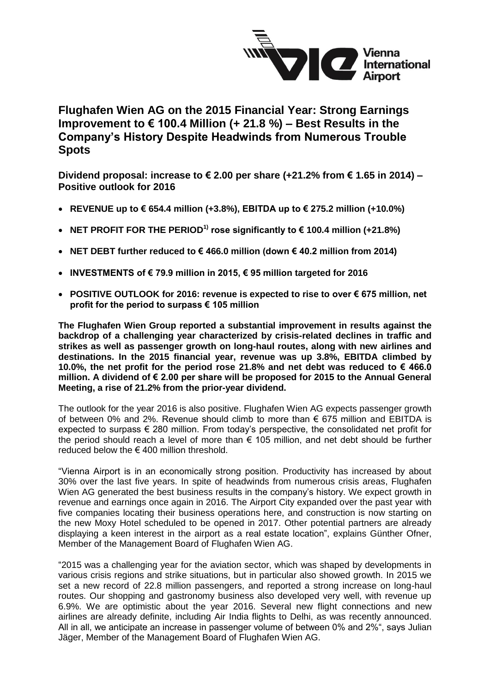

**Flughafen Wien AG on the 2015 Financial Year: Strong Earnings Improvement to € 100.4 Million (+ 21.8 %) – Best Results in the Company's History Despite Headwinds from Numerous Trouble Spots**

**Dividend proposal: increase to € 2.00 per share (+21.2% from € 1.65 in 2014) – Positive outlook for 2016**

- **REVENUE up to € 654.4 million (+3.8%), EBITDA up to € 275.2 million (+10.0%)**
- **NET PROFIT FOR THE PERIOD1) rose significantly to € 100.4 million (+21.8%)**
- **NET DEBT further reduced to € 466.0 million (down € 40.2 million from 2014)**
- **INVESTMENTS of € 79.9 million in 2015, € 95 million targeted for 2016**
- **POSITIVE OUTLOOK for 2016: revenue is expected to rise to over € 675 million, net profit for the period to surpass € 105 million**

**The Flughafen Wien Group reported a substantial improvement in results against the backdrop of a challenging year characterized by crisis-related declines in traffic and strikes as well as passenger growth on long-haul routes, along with new airlines and destinations. In the 2015 financial year, revenue was up 3.8%, EBITDA climbed by 10.0%, the net profit for the period rose 21.8% and net debt was reduced to € 466.0 million. A dividend of € 2.00 per share will be proposed for 2015 to the Annual General Meeting, a rise of 21.2% from the prior-year dividend.**

The outlook for the year 2016 is also positive. Flughafen Wien AG expects passenger growth of between 0% and 2%. Revenue should climb to more than € 675 million and EBITDA is expected to surpass € 280 million. From today's perspective, the consolidated net profit for the period should reach a level of more than € 105 million, and net debt should be further reduced below the  $\epsilon$  400 million threshold.

"Vienna Airport is in an economically strong position. Productivity has increased by about 30% over the last five years. In spite of headwinds from numerous crisis areas, Flughafen Wien AG generated the best business results in the company's history. We expect growth in revenue and earnings once again in 2016. The Airport City expanded over the past year with five companies locating their business operations here, and construction is now starting on the new Moxy Hotel scheduled to be opened in 2017. Other potential partners are already displaying a keen interest in the airport as a real estate location", explains Günther Ofner, Member of the Management Board of Flughafen Wien AG.

"2015 was a challenging year for the aviation sector, which was shaped by developments in various crisis regions and strike situations, but in particular also showed growth. In 2015 we set a new record of 22.8 million passengers, and reported a strong increase on long-haul routes. Our shopping and gastronomy business also developed very well, with revenue up 6.9%. We are optimistic about the year 2016. Several new flight connections and new airlines are already definite, including Air India flights to Delhi, as was recently announced. All in all, we anticipate an increase in passenger volume of between 0% and 2%", says Julian Jäger, Member of the Management Board of Flughafen Wien AG.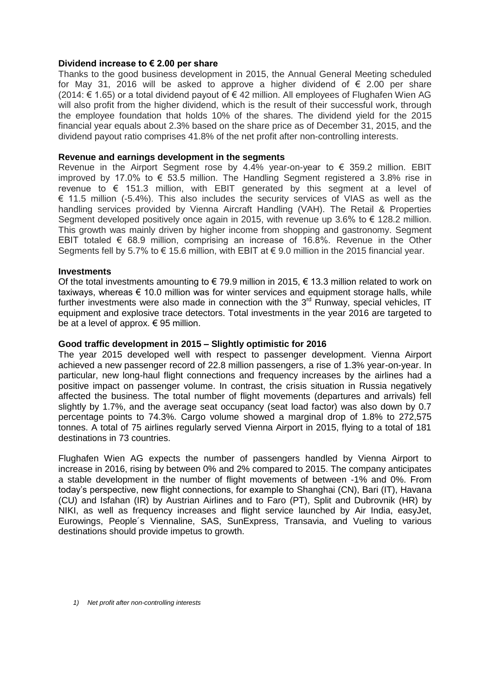# **Dividend increase to € 2.00 per share**

Thanks to the good business development in 2015, the Annual General Meeting scheduled for May 31, 2016 will be asked to approve a higher dividend of  $\epsilon$  2.00 per share (2014: € 1.65) or a total dividend payout of € 42 million. All employees of Flughafen Wien AG will also profit from the higher dividend, which is the result of their successful work, through the employee foundation that holds 10% of the shares. The dividend yield for the 2015 financial year equals about 2.3% based on the share price as of December 31, 2015, and the dividend payout ratio comprises 41.8% of the net profit after non-controlling interests.

## **Revenue and earnings development in the segments**

Revenue in the Airport Segment rose by 4.4% year-on-year to  $\epsilon$  359.2 million. EBIT improved by 17.0% to  $\epsilon$  53.5 million. The Handling Segment registered a 3.8% rise in revenue to € 151.3 million, with EBIT generated by this segment at a level of  $\epsilon$  11.5 million (-5.4%). This also includes the security services of VIAS as well as the handling services provided by Vienna Aircraft Handling (VAH). The Retail & Properties Segment developed positively once again in 2015, with revenue up 3.6% to  $\epsilon$  128.2 million. This growth was mainly driven by higher income from shopping and gastronomy. Segment EBIT totaled  $\epsilon$  68.9 million, comprising an increase of 16.8%. Revenue in the Other Segments fell by 5.7% to  $\epsilon$  15.6 million, with EBIT at  $\epsilon$  9.0 million in the 2015 financial year.

## **Investments**

Of the total investments amounting to  $\in$  79.9 million in 2015,  $\in$  13.3 million related to work on taxiways, whereas  $\epsilon$  10.0 million was for winter services and equipment storage halls, while further investments were also made in connection with the  $3<sup>rd</sup>$  Runway, special vehicles, IT equipment and explosive trace detectors. Total investments in the year 2016 are targeted to be at a level of approx.  $\epsilon$  95 million.

# **Good traffic development in 2015 – Slightly optimistic for 2016**

The year 2015 developed well with respect to passenger development. Vienna Airport achieved a new passenger record of 22.8 million passengers, a rise of 1.3% year-on-year. In particular, new long-haul flight connections and frequency increases by the airlines had a positive impact on passenger volume. In contrast, the crisis situation in Russia negatively affected the business. The total number of flight movements (departures and arrivals) fell slightly by 1.7%, and the average seat occupancy (seat load factor) was also down by 0.7 percentage points to 74.3%. Cargo volume showed a marginal drop of 1.8% to 272,575 tonnes. A total of 75 airlines regularly served Vienna Airport in 2015, flying to a total of 181 destinations in 73 countries.

Flughafen Wien AG expects the number of passengers handled by Vienna Airport to increase in 2016, rising by between 0% and 2% compared to 2015. The company anticipates a stable development in the number of flight movements of between -1% and 0%. From today's perspective, new flight connections, for example to Shanghai (CN), Bari (IT), Havana (CU) and Isfahan (IR) by Austrian Airlines and to Faro (PT), Split and Dubrovnik (HR) by NIKI, as well as frequency increases and flight service launched by Air India, easyJet, Eurowings, People´s Viennaline, SAS, SunExpress, Transavia, and Vueling to various destinations should provide impetus to growth.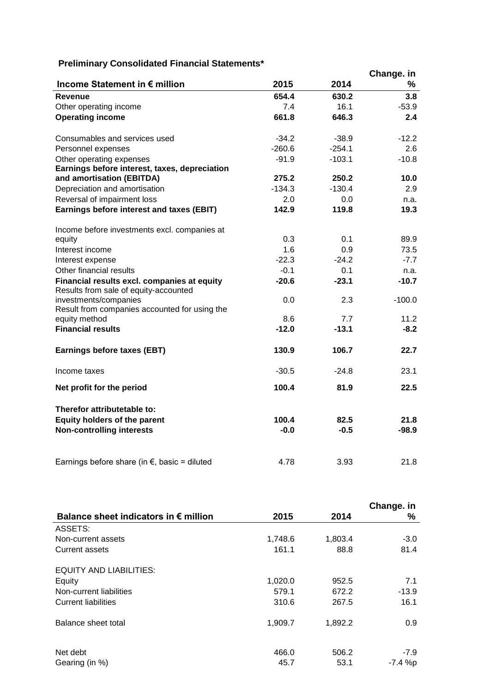# **Preliminary Consolidated Financial Statements\***

| Preliminary Consolidated Financial Statements"                                       |          |          |            |
|--------------------------------------------------------------------------------------|----------|----------|------------|
|                                                                                      |          |          | Change. in |
| Income Statement in € million                                                        | 2015     | 2014     | ℅          |
| <b>Revenue</b>                                                                       | 654.4    | 630.2    | 3.8        |
| Other operating income                                                               | 7.4      | 16.1     | $-53.9$    |
| <b>Operating income</b>                                                              | 661.8    | 646.3    | 2.4        |
| Consumables and services used                                                        | $-34.2$  | $-38.9$  | $-12.2$    |
| Personnel expenses                                                                   | $-260.6$ | $-254.1$ | 2.6        |
| Other operating expenses                                                             | $-91.9$  | $-103.1$ | $-10.8$    |
| Earnings before interest, taxes, depreciation                                        |          |          |            |
| and amortisation (EBITDA)                                                            | 275.2    | 250.2    | 10.0       |
| Depreciation and amortisation                                                        | $-134.3$ | $-130.4$ | 2.9        |
| Reversal of impairment loss                                                          | 2.0      | 0.0      | n.a.       |
| Earnings before interest and taxes (EBIT)                                            | 142.9    | 119.8    | 19.3       |
| Income before investments excl. companies at                                         |          |          |            |
| equity                                                                               | 0.3      | 0.1      | 89.9       |
| Interest income                                                                      | 1.6      | 0.9      | 73.5       |
| Interest expense                                                                     | $-22.3$  | $-24.2$  | $-7.7$     |
| Other financial results                                                              | $-0.1$   | 0.1      | n.a.       |
| Financial results excl. companies at equity<br>Results from sale of equity-accounted | $-20.6$  | $-23.1$  | $-10.7$    |
| investments/companies                                                                | 0.0      | 2.3      | $-100.0$   |
| Result from companies accounted for using the                                        |          |          |            |
| equity method                                                                        | 8.6      | 7.7      | 11.2       |
| <b>Financial results</b>                                                             | $-12.0$  | $-13.1$  | $-8.2$     |
| Earnings before taxes (EBT)                                                          | 130.9    | 106.7    | 22.7       |
| Income taxes                                                                         | $-30.5$  | $-24.8$  | 23.1       |
| Net profit for the period                                                            | 100.4    | 81.9     | 22.5       |
| Therefor attributetable to:                                                          |          |          |            |
| <b>Equity holders of the parent</b>                                                  | 100.4    | 82.5     | 21.8       |
| <b>Non-controlling interests</b>                                                     | $-0.0$   | $-0.5$   | -98.9      |
| Earnings before share (in $\epsilon$ , basic = diluted                               | 4.78     | 3.93     | 21.8       |

|                                                |         |         | Change. in |
|------------------------------------------------|---------|---------|------------|
| Balance sheet indicators in $\epsilon$ million | 2015    | 2014    | %          |
| ASSETS:                                        |         |         |            |
| Non-current assets                             | 1,748.6 | 1,803.4 | $-3.0$     |
| <b>Current assets</b>                          | 161.1   | 88.8    | 81.4       |
| <b>EQUITY AND LIABILITIES:</b>                 |         |         |            |
| Equity                                         | 1,020.0 | 952.5   | 7.1        |
| Non-current liabilities                        | 579.1   | 672.2   | $-13.9$    |
| <b>Current liabilities</b>                     | 310.6   | 267.5   | 16.1       |
| Balance sheet total                            | 1,909.7 | 1,892.2 | 0.9        |
| Net debt                                       | 466.0   | 506.2   | -7.9       |
| Gearing (in %)                                 | 45.7    | 53.1    | -7.4 %p    |